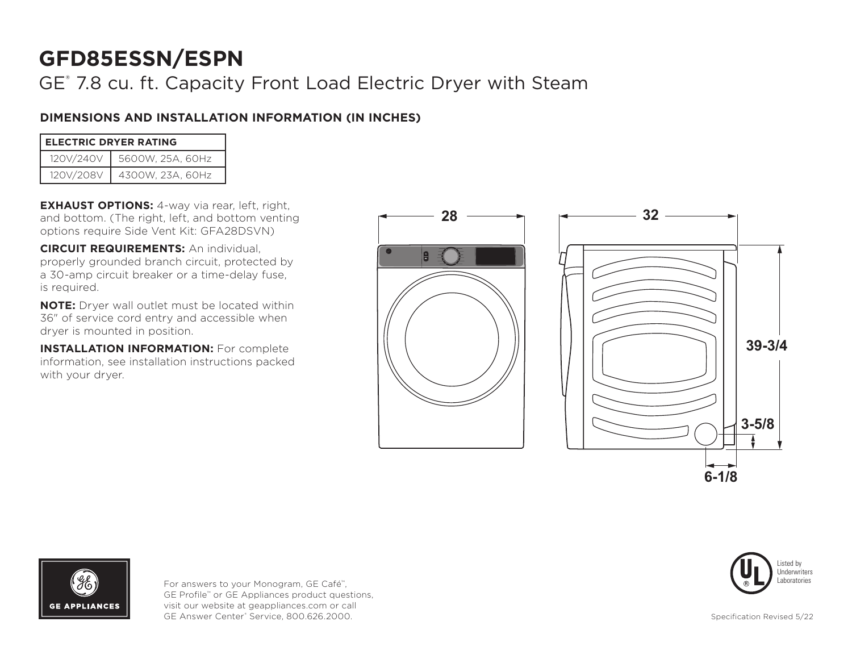GE® 7.8 cu. ft. Capacity Front Load Electric Dryer with Steam

## **DIMENSIONS AND INSTALLATION INFORMATION (IN INCHES)**

| <b>ELECTRIC DRYER RATING</b> |                  |  |  |
|------------------------------|------------------|--|--|
| 120V/240V                    | 5600W, 25A, 60Hz |  |  |
| 120V/208V                    | 4300W, 23A, 60Hz |  |  |

**EXHAUST OPTIONS:** 4-way via rear, left, right, and bottom. (The right, left, and bottom venting options require Side Vent Kit: GFA28DSVN)

**CIRCUIT REQUIREMENTS:** An individual, properly grounded branch circuit, protected by a 30-amp circuit breaker or a time-delay fuse, is required.

**NOTE:** Dryer wall outlet must be located within 36" of service cord entry and accessible when dryer is mounted in position.

**INSTALLATION INFORMATION:** For complete information, see installation instructions packed with your dryer.









For answers to your Monogram, GE Café™, GE Profile™ or GE Appliances product questions, visit our website at geappliances.com or call GE Answer Center® Service, 800.626.2000.

Specification Revised 5/22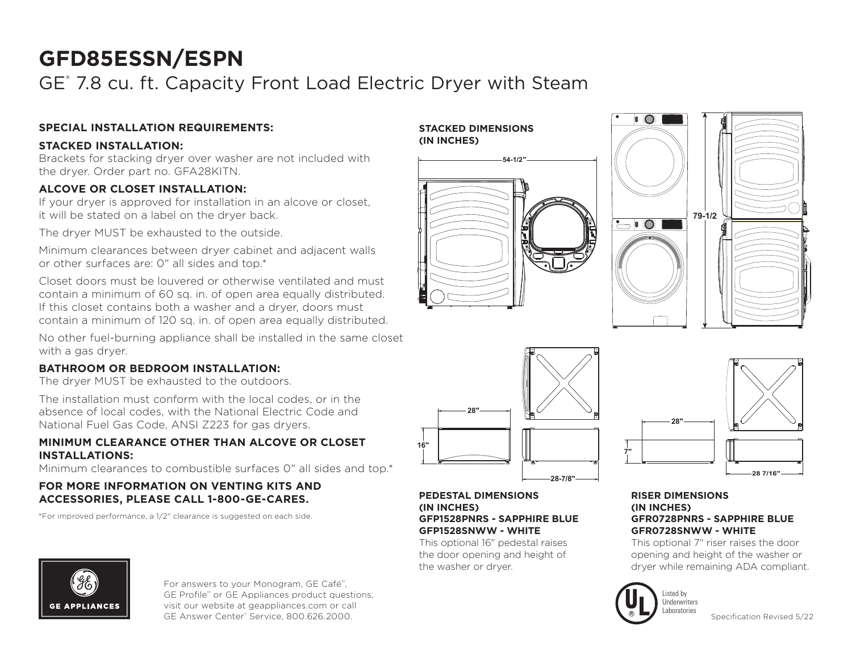GE® 7.8 cu. ft. Capacity Front Load Electric Dryer with Steam

## **SPECIAL INSTALLATION REQUIREMENTS:**

## **STACKED INSTALLATION:**

Brackets for stacking dryer over washer are not included with the dryer. Order part no. GFA28KITN.

## **ALCOVE OR CLOSET INSTALLATION:**

If your dryer is approved for installation in an alcove or closet, it will be stated on a label on the dryer back.

The dryer MUST be exhausted to the outside.

Minimum clearances between dryer cabinet and adjacent walls or other surfaces are: 0" all sides and top.\*

Closet doors must be louvered or otherwise ventilated and must contain a minimum of 60 sq. in. of open area equally distributed. If this closet contains both a washer and a dryer, doors must contain a minimum of 120 sq. in. of open area equally distributed.

No other fuel-burning appliance shall be installed in the same closet with a gas dryer.

## **BATHROOM OR BEDROOM INSTALLATION:**

The dryer MUST be exhausted to the outdoors.

The installation must conform with the local codes, or in the absence of local codes, with the National Electric Code and National Fuel Gas Code, ANSI Z223 for gas dryers.

### **MINIMUM CLEARANCE OTHER THAN ALCOVE OR CLOSET INSTALLATIONS:**

Minimum clearances to combustible surfaces 0" all sides and top.\*

### **FOR MORE INFORMATION ON VENTING KITS AND ACCESSORIES, PLEASE CALL 1-800-GE-CARES.**

\*For improved performance, a 1/2" clearance is suggested on each side.







#### **PEDESTAL DIMENSIONS (IN INCHES) GFP1528PNRS - SAPPHIRE BLUE GFP1528SNWW - WHITE**

This optional 16" pedestal raises the door opening and height of the washer or dryer.



#### **RISER DIMENSIONS (IN INCHES) GFR0728PNRS - SAPPHIRE BLUE GFR0728SNWW - WHITE**

This optional 7" riser raises the door opening and height of the washer or dryer while remaining ADA compliant.



**7"**

Specification Revised 5/22



For answers to your Monogram, GE Café™, GE Profile™ or GE Appliances product questions, visit our website at geappliances.com or call GE Answer Center® Service, 800.626.2000.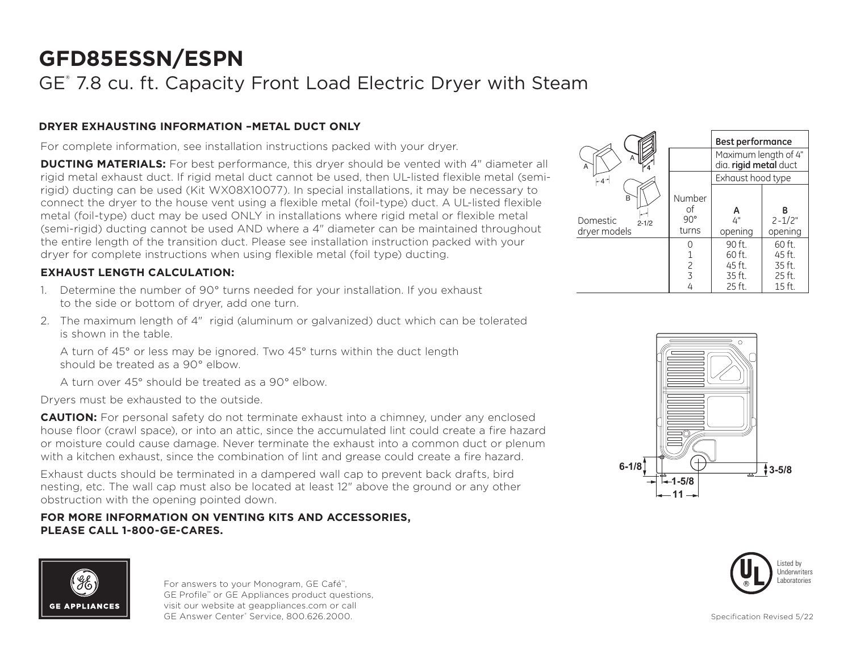## GE® 7.8 cu. ft. Capacity Front Load Electric Dryer with Steam

## **DRYER EXHAUSTING INFORMATION –METAL DUCT ONLY**

For complete information, see installation instructions packed with your dryer.

**DUCTING MATERIALS:** For best performance, this dryer should be vented with 4" diameter all rigid metal exhaust duct. If rigid metal duct cannot be used, then UL-listed flexible metal (semirigid) ducting can be used (Kit WX08X10077). In special installations, it may be necessary to connect the dryer to the house vent using a flexible metal (foil-type) duct. A UL-listed flexible metal (foil-type) duct may be used ONLY in installations where rigid metal or flexible metal (semi-rigid) ducting cannot be used AND where a 4" diameter can be maintained throughout the entire length of the transition duct. Please see installation instruction packed with your dryer for complete instructions when using flexible metal (foil type) ducting.

## **EXHAUST LENGTH CALCULATION:**

- 1. Determine the number of 90° turns needed for your installation. If you exhaust to the side or bottom of dryer, add one turn.
- 2. The maximum length of 4" rigid (aluminum or galvanized) duct which can be tolerated is shown in the table.

A turn of 45° or less may be ignored. Two 45° turns within the duct length should be treated as a 90° elbow.

A turn over 45° should be treated as a 90° elbow.

Dryers must be exhausted to the outside.

**CAUTION:** For personal safety do not terminate exhaust into a chimney, under any enclosed house floor (crawl space), or into an attic, since the accumulated lint could create a fire hazard or moisture could cause damage. Never terminate the exhaust into a common duct or plenum with a kitchen exhaust, since the combination of lint and grease could create a fire hazard.

Exhaust ducts should be terminated in a dampered wall cap to prevent back drafts, bird nesting, etc. The wall cap must also be located at least 12" above the ground or any other obstruction with the opening pointed down.

### **FOR MORE INFORMATION ON VENTING KITS AND ACCESSORIES, PLEASE CALL 1-800-GE-CARES.**



For answers to your Monogram, GE Café™, GE Profile™ or GE Appliances product questions, visit our website at geappliances.com or call GE Answer Center® Service, 800.626.2000.

|                                            |                                       | <b>Best performance</b>                       |                            |
|--------------------------------------------|---------------------------------------|-----------------------------------------------|----------------------------|
| A<br>A                                     |                                       | Maximum length of 4"<br>dia. rigid metal duct |                            |
| -4*                                        |                                       | Exhaust hood type                             |                            |
| B<br>Domestic<br>$2 - 1/2$<br>dryer models | Number<br>οf<br>$90^{\circ}$<br>turns | А<br>Δ"<br>opening                            | В<br>$2 - 1/2"$<br>opening |
|                                            |                                       | 90 ft.                                        | 60 ft.                     |
|                                            |                                       | 60 ft.                                        | 45 ft.                     |
|                                            | $\frac{2}{3}$                         | 45 ft.                                        | 35 ft.                     |
|                                            |                                       | 35 ft.                                        | 25 ft.                     |
|                                            | 4                                     | 25 ft.                                        | $15$ ft.                   |